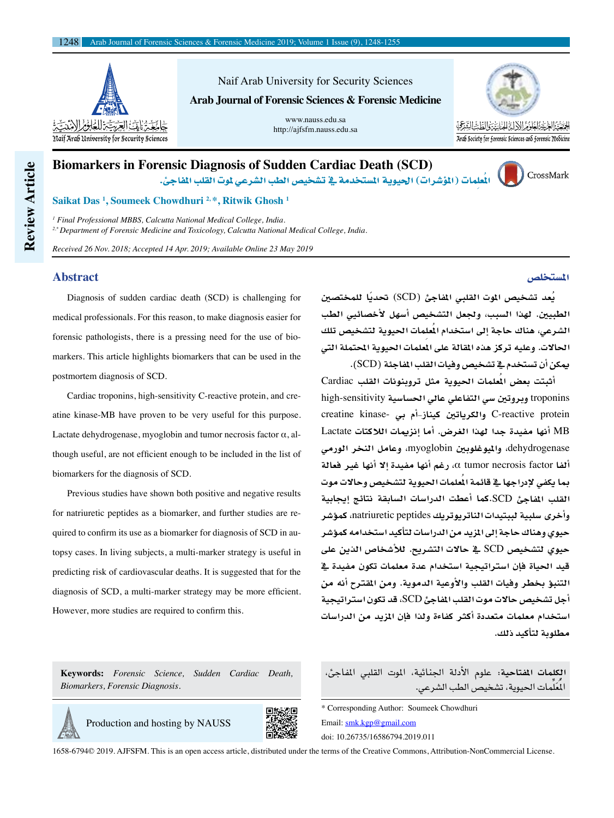

Naif Arab University for Security Sciences **Arab Journal of Forensic Sciences & Forensic Medicine**

> www.nauss.edu.sa http://ajfsfm.nauss.edu.sa



# **Biomarkers in Forensic Diagnosis of Sudden Cardiac Death (SCD)** الْعَلِمات (المؤشرات) الحيوية المستخدمة في تشخيص الطب الشرعي لموت القلب المفاجئ.



## **Saikat Das <sup>1</sup> , Soumeek Chowdhuri 2, \*, Ritwik Ghosh <sup>1</sup>**

*1 Final Professional MBBS, Calcutta National Medical College, India. 2,\* Department of Forensic Medicine and Toxicology, Calcutta National Medical College, India.*

*Received 26 Nov. 2018; Accepted 14 Apr. 2019; Available Online 23 May 2019*

### **Abstract**

Diagnosis of sudden cardiac death (SCD) is challenging for medical professionals. For this reason, to make diagnosis easier for forensic pathologists, there is a pressing need for the use of biomarkers. This article highlights biomarkers that can be used in the postmortem diagnosis of SCD.

Cardiac troponins, high-sensitivity C-reactive protein, and creatine kinase-MB have proven to be very useful for this purpose. Lactate dehydrogenase, myoglobin and tumor necrosis factor  $\alpha$ , although useful, are not efficient enough to be included in the list of biomarkers for the diagnosis of SCD.

Previous studies have shown both positive and negative results for natriuretic peptides as a biomarker, and further studies are required to confirm its use as a biomarker for diagnosis of SCD in autopsy cases. In living subjects, a multi-marker strategy is useful in predicting risk of cardiovascular deaths. It is suggested that for the diagnosis of SCD, a multi-marker strategy may be more efficient. However, more studies are required to confirm this.

**Keywords:** *Forensic Science, Sudden Cardiac Death, Biomarkers, Forensic Diagnosis.*

Production and hosting by NAUSS



1658-6794© 2019. AJFSFM. This is an open access article, distributed under the terms of the Creative Commons, Attribution-NonCommercial License.

**ُيعد ت�صخي�ص املوت القلبي املفاجئ )**SCD (**ًحتديا للمخت�صني الطبيني. لهذا ال�صبب، وجلعل الت�صخي�ص اأ�صهل لأخ�صائيي الطب**  الشرعي، هناك حاجة إلى استخدام ال<sup>ُ</sup>علِمات الحيوية لتشخيص تلك **احلالت. وعليه تركز هذه املقالة على املعلمات احليوية املحتملة التي ميكن اأن ت�صتخدم يف ت�صخي�ص وفيات القلب املفاجئة )**SCD**).** 

**اأثبتت بع�ص املُعلمات احليوية مثل تروبنونات القلب** Cardiac troponins **وبروتني �صي التفاعلي عايل احل�صا�صية** sensitivity-high creatine kinase- **بي اأم-كيناز والكرياتني** C-reactive protein MB **اأنها مفيدة جدا لهذا الغر�ص. اأما اإنزميات الالكتات** Lactate dehydrogenase**، وامليوغلوبني** myoglobin**، وعامل النخر الورمي األفا** factor necrosis tumor α**، رغم اأنها مفيدة اإل اأنها غري فعالة مبا يكفي لإدراجها يف قائمة املُعلمات احليوية لت�صخي�ص وحالت موت القلب املفاجئ** SCD**.كما اأعطت الدرا�صات ال�صابقة نتائج اإيجابية واأخرى �صلبية لببتيدات الناتريوتريك** peptides natriuretic**، كموؤ�صر حيوي وهناك حاجة اإىل املزيد من الدرا�صات لتاأكيد ا�صتخدامه كموؤ�صر حيوي لت�صخي�ص** SCD **يف حالت الت�صريح. لالأ�صخا�ص الذين على قيد احلياة فاإن ا�صرتاتيجية ا�صتخدام عدة معلمات تكون مفيدة يف التنبوؤ بخطر وفيات القلب والأوعية الدموية. ومن املقرتح اأنه من اأجل ت�صخي�ص حالت موت القلب املفاجئ** SCD**، قد تكون ا�صرتاتيجية ا�صتخدام معلمات متعددة اأكرث كفاءة ولذا فاإن املزيد من الدرا�صات مطلوبة لتاأكيد ذلك.**

**الكلمات املفتاحية:** علوم الأدلة اجلنائية، املوت القلبي املفاجئ، المُعلِّمات الحيوية، تشخيص الطب الشرعي.

\* Corresponding Author: Soumeek Chowdhuri Email: smk.kgp@gmail.com doi: 10.26735/16586794.2019.011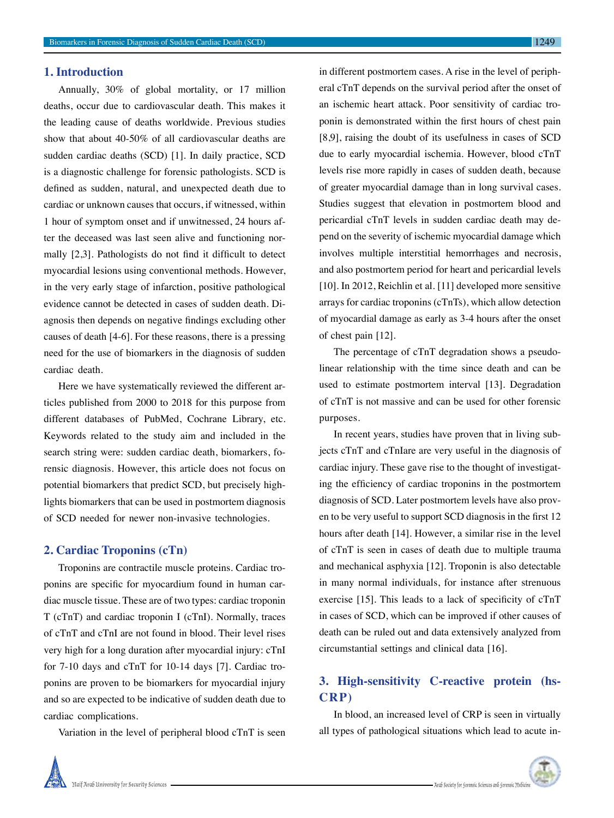## **1. Introduction**

Annually, 30% of global mortality, or 17 million deaths, occur due to cardiovascular death. This makes it the leading cause of deaths worldwide. Previous studies show that about 40-50% of all cardiovascular deaths are sudden cardiac deaths (SCD) [1]. In daily practice, SCD is a diagnostic challenge for forensic pathologists. SCD is defined as sudden, natural, and unexpected death due to cardiac or unknown causes that occurs, if witnessed, within 1 hour of symptom onset and if unwitnessed, 24 hours after the deceased was last seen alive and functioning normally [2,3]. Pathologists do not find it difficult to detect myocardial lesions using conventional methods. However, in the very early stage of infarction, positive pathological evidence cannot be detected in cases of sudden death. Diagnosis then depends on negative findings excluding other causes of death [4-6]. For these reasons, there is a pressing need for the use of biomarkers in the diagnosis of sudden cardiac death.

Here we have systematically reviewed the different articles published from 2000 to 2018 for this purpose from different databases of PubMed, Cochrane Library, etc. Keywords related to the study aim and included in the search string were: sudden cardiac death, biomarkers, forensic diagnosis. However, this article does not focus on potential biomarkers that predict SCD, but precisely highlights biomarkers that can be used in postmortem diagnosis of SCD needed for newer non-invasive technologies.

### **2. Cardiac Troponins (cTn)**

Troponins are contractile muscle proteins. Cardiac troponins are specific for myocardium found in human cardiac muscle tissue. These are of two types: cardiac troponin T (cTnT) and cardiac troponin I (cTnI). Normally, traces of cTnT and cTnI are not found in blood. Their level rises very high for a long duration after myocardial injury: cTnI for 7-10 days and cTnT for 10-14 days [7]. Cardiac troponins are proven to be biomarkers for myocardial injury and so are expected to be indicative of sudden death due to cardiac complications.

Variation in the level of peripheral blood cTnT is seen

in different postmortem cases. A rise in the level of peripheral cTnT depends on the survival period after the onset of an ischemic heart attack. Poor sensitivity of cardiac troponin is demonstrated within the first hours of chest pain [8,9], raising the doubt of its usefulness in cases of SCD due to early myocardial ischemia. However, blood cTnT levels rise more rapidly in cases of sudden death, because of greater myocardial damage than in long survival cases. Studies suggest that elevation in postmortem blood and pericardial cTnT levels in sudden cardiac death may depend on the severity of ischemic myocardial damage which involves multiple interstitial hemorrhages and necrosis, and also postmortem period for heart and pericardial levels [10]. In 2012, Reichlin et al. [11] developed more sensitive arrays for cardiac troponins (cTnTs), which allow detection of myocardial damage as early as 3-4 hours after the onset of chest pain [12].

The percentage of cTnT degradation shows a pseudolinear relationship with the time since death and can be used to estimate postmortem interval [13]. Degradation of cTnT is not massive and can be used for other forensic purposes.

In recent years, studies have proven that in living subjects cTnT and cTnIare are very useful in the diagnosis of cardiac injury. These gave rise to the thought of investigating the efficiency of cardiac troponins in the postmortem diagnosis of SCD. Later postmortem levels have also proven to be very useful to support SCD diagnosis in the first 12 hours after death [14]. However, a similar rise in the level of cTnT is seen in cases of death due to multiple trauma and mechanical asphyxia [12]. Troponin is also detectable in many normal individuals, for instance after strenuous exercise [15]. This leads to a lack of specificity of cTnT in cases of SCD, which can be improved if other causes of death can be ruled out and data extensively analyzed from circumstantial settings and clinical data [16].

# **3. High-sensitivity C-reactive protein (hs-CRP)**

In blood, an increased level of CRP is seen in virtually all types of pathological situations which lead to acute in-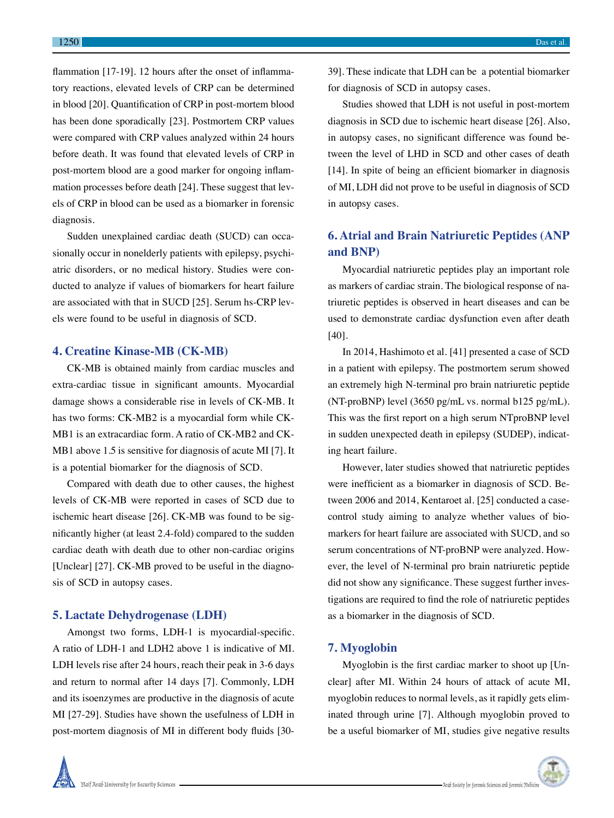flammation [17-19]. 12 hours after the onset of inflammatory reactions, elevated levels of CRP can be determined in blood [20]. Quantification of CRP in post-mortem blood has been done sporadically [23]. Postmortem CRP values were compared with CRP values analyzed within 24 hours before death. It was found that elevated levels of CRP in post-mortem blood are a good marker for ongoing inflammation processes before death [24]. These suggest that levels of CRP in blood can be used as a biomarker in forensic diagnosis.

Sudden unexplained cardiac death (SUCD) can occasionally occur in nonelderly patients with epilepsy, psychiatric disorders, or no medical history. Studies were conducted to analyze if values of biomarkers for heart failure are associated with that in SUCD [25]. Serum hs-CRP levels were found to be useful in diagnosis of SCD.

### **4. Creatine Kinase-MB (CK-MB)**

CK-MB is obtained mainly from cardiac muscles and extra-cardiac tissue in significant amounts. Myocardial damage shows a considerable rise in levels of CK-MB. It has two forms: CK-MB2 is a myocardial form while CK-MB1 is an extracardiac form. A ratio of CK-MB2 and CK-MB1 above 1.5 is sensitive for diagnosis of acute MI [7]. It is a potential biomarker for the diagnosis of SCD.

Compared with death due to other causes, the highest levels of CK-MB were reported in cases of SCD due to ischemic heart disease [26]. CK-MB was found to be significantly higher (at least 2.4-fold) compared to the sudden cardiac death with death due to other non-cardiac origins [Unclear] [27]. CK-MB proved to be useful in the diagnosis of SCD in autopsy cases.

### **5. Lactate Dehydrogenase (LDH)**

Amongst two forms, LDH-1 is myocardial-specific. A ratio of LDH-1 and LDH2 above 1 is indicative of MI. LDH levels rise after 24 hours, reach their peak in 3-6 days and return to normal after 14 days [7]. Commonly, LDH and its isoenzymes are productive in the diagnosis of acute MI [27-29]. Studies have shown the usefulness of LDH in post-mortem diagnosis of MI in different body fluids [3039]. These indicate that LDH can be a potential biomarker for diagnosis of SCD in autopsy cases.

Studies showed that LDH is not useful in post-mortem diagnosis in SCD due to ischemic heart disease [26]. Also, in autopsy cases, no significant difference was found between the level of LHD in SCD and other cases of death [14]. In spite of being an efficient biomarker in diagnosis of MI, LDH did not prove to be useful in diagnosis of SCD in autopsy cases.

# **6. Atrial and Brain Natriuretic Peptides (ANP and BNP)**

Myocardial natriuretic peptides play an important role as markers of cardiac strain. The biological response of natriuretic peptides is observed in heart diseases and can be used to demonstrate cardiac dysfunction even after death [40].

In 2014, Hashimoto et al. [41] presented a case of SCD in a patient with epilepsy. The postmortem serum showed an extremely high N-terminal pro brain natriuretic peptide (NT-proBNP) level (3650 pg/mL vs. normal b125 pg/mL). This was the first report on a high serum NTproBNP level in sudden unexpected death in epilepsy (SUDEP), indicating heart failure.

However, later studies showed that natriuretic peptides were inefficient as a biomarker in diagnosis of SCD. Between 2006 and 2014, Kentaroet al. [25] conducted a casecontrol study aiming to analyze whether values of biomarkers for heart failure are associated with SUCD, and so serum concentrations of NT-proBNP were analyzed. However, the level of N-terminal pro brain natriuretic peptide did not show any significance. These suggest further investigations are required to find the role of natriuretic peptides as a biomarker in the diagnosis of SCD.

## **7. Myoglobin**

Myoglobin is the first cardiac marker to shoot up [Unclear] after MI. Within 24 hours of attack of acute MI, myoglobin reduces to normal levels, as it rapidly gets eliminated through urine [7]. Although myoglobin proved to be a useful biomarker of MI, studies give negative results

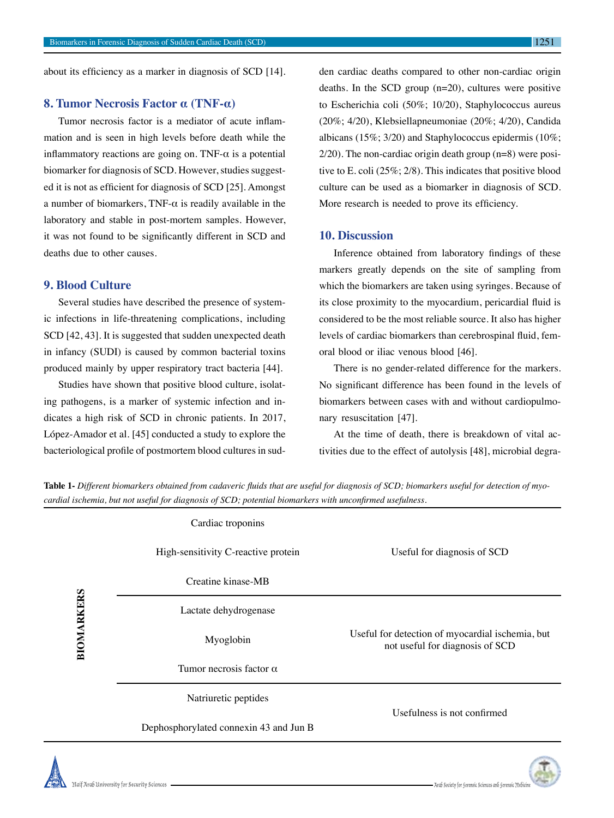# **8. Tumor Necrosis Factor α (TNF-α)**

Tumor necrosis factor is a mediator of acute inflammation and is seen in high levels before death while the inflammatory reactions are going on. TNF- $\alpha$  is a potential biomarker for diagnosis of SCD. However, studies suggested it is not as efficient for diagnosis of SCD [25]. Amongst a number of biomarkers, TNF- $\alpha$  is readily available in the laboratory and stable in post-mortem samples. However, it was not found to be significantly different in SCD and deaths due to other causes.

# **9. Blood Culture**

Several studies have described the presence of systemic infections in life-threatening complications, including SCD [42, 43]. It is suggested that sudden unexpected death in infancy (SUDI) is caused by common bacterial toxins produced mainly by upper respiratory tract bacteria [44].

Studies have shown that positive blood culture, isolating pathogens, is a marker of systemic infection and indicates a high risk of SCD in chronic patients. In 2017, López-Amador et al. [45] conducted a study to explore the bacteriological profile of postmortem blood cultures in sudden cardiac deaths compared to other non-cardiac origin deaths. In the SCD group  $(n=20)$ , cultures were positive to Escherichia coli (50%; 10/20), Staphylococcus aureus (20%; 4/20), Klebsiellapneumoniae (20%; 4/20), Candida albicans (15%; 3/20) and Staphylococcus epidermis (10%; 2/20). The non-cardiac origin death group (n=8) were positive to E. coli (25%; 2/8). This indicates that positive blood culture can be used as a biomarker in diagnosis of SCD. More research is needed to prove its efficiency.

### **10. Discussion**

Inference obtained from laboratory findings of these markers greatly depends on the site of sampling from which the biomarkers are taken using syringes. Because of its close proximity to the myocardium, pericardial fluid is considered to be the most reliable source. It also has higher levels of cardiac biomarkers than cerebrospinal fluid, femoral blood or iliac venous blood [46].

There is no gender-related difference for the markers. No significant difference has been found in the levels of biomarkers between cases with and without cardiopulmonary resuscitation [47].

At the time of death, there is breakdown of vital activities due to the effect of autolysis [48], microbial degra-

**Table 1-** *Different biomarkers obtained from cadaveric fluids that are useful for diagnosis of SCD; biomarkers useful for detection of myocardial ischemia, but not useful for diagnosis of SCD; potential biomarkers with unconfirmed usefulness.*

| BIOMARKERS | Cardiac troponins                      |                                                                                     |
|------------|----------------------------------------|-------------------------------------------------------------------------------------|
|            | High-sensitivity C-reactive protein    | Useful for diagnosis of SCD                                                         |
|            | Creatine kinase-MB                     |                                                                                     |
|            | Lactate dehydrogenase                  |                                                                                     |
|            | Myoglobin                              | Useful for detection of myocardial ischemia, but<br>not useful for diagnosis of SCD |
|            | Tumor necrosis factor $\alpha$         |                                                                                     |
|            | Natriuretic peptides                   | Usefulness is not confirmed                                                         |
|            | Dephosphorylated connexin 43 and Jun B |                                                                                     |
|            |                                        |                                                                                     |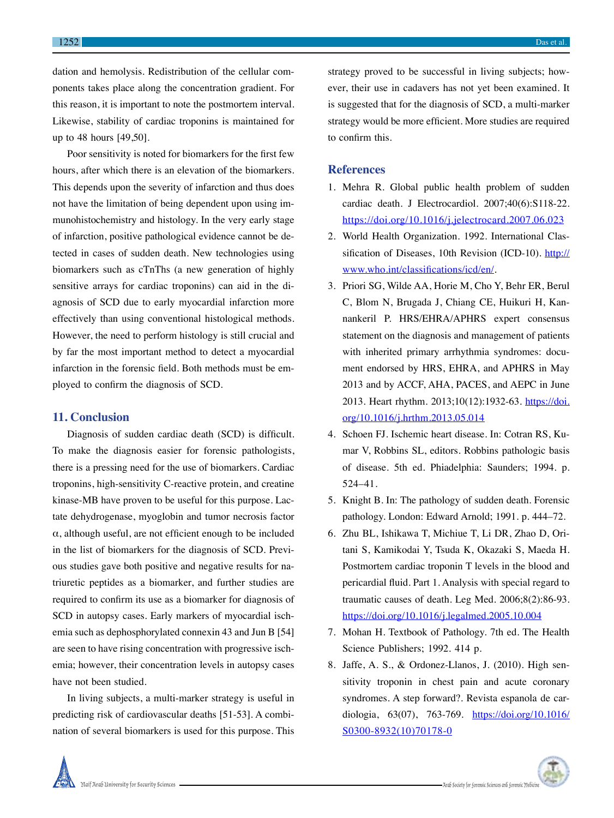dation and hemolysis. Redistribution of the cellular components takes place along the concentration gradient. For this reason, it is important to note the postmortem interval. Likewise, stability of cardiac troponins is maintained for up to 48 hours [49,50].

Poor sensitivity is noted for biomarkers for the first few hours, after which there is an elevation of the biomarkers. This depends upon the severity of infarction and thus does not have the limitation of being dependent upon using immunohistochemistry and histology. In the very early stage of infarction, positive pathological evidence cannot be detected in cases of sudden death. New technologies using biomarkers such as cTnThs (a new generation of highly sensitive arrays for cardiac troponins) can aid in the diagnosis of SCD due to early myocardial infarction more effectively than using conventional histological methods. However, the need to perform histology is still crucial and by far the most important method to detect a myocardial infarction in the forensic field. Both methods must be employed to confirm the diagnosis of SCD.

#### **11. Conclusion**

Diagnosis of sudden cardiac death (SCD) is difficult. To make the diagnosis easier for forensic pathologists, there is a pressing need for the use of biomarkers. Cardiac troponins, high-sensitivity C-reactive protein, and creatine kinase-MB have proven to be useful for this purpose. Lactate dehydrogenase, myoglobin and tumor necrosis factor  $\alpha$ , although useful, are not efficient enough to be included in the list of biomarkers for the diagnosis of SCD. Previous studies gave both positive and negative results for natriuretic peptides as a biomarker, and further studies are required to confirm its use as a biomarker for diagnosis of SCD in autopsy cases. Early markers of myocardial ischemia such as dephosphorylated connexin 43 and Jun B [54] are seen to have rising concentration with progressive ischemia; however, their concentration levels in autopsy cases have not been studied.

In living subjects, a multi-marker strategy is useful in predicting risk of cardiovascular deaths [51-53]. A combination of several biomarkers is used for this purpose. This strategy proved to be successful in living subjects; however, their use in cadavers has not yet been examined. It is suggested that for the diagnosis of SCD, a multi-marker strategy would be more efficient. More studies are required to confirm this.

### **References**

- 1. Mehra R. Global public health problem of sudden cardiac death. J Electrocardiol. 2007;40(6):S118-22. https://doi.org/10.1016/j.jelectrocard.2007.06.023
- 2. World Health Organization. 1992. International Classification of Diseases, 10th Revision (ICD-10). http:// www.who.int/classifications/icd/en/.
- 3. Priori SG, Wilde AA, Horie M, Cho Y, Behr ER, Berul C, Blom N, Brugada J, Chiang CE, Huikuri H, Kannankeril P. HRS/EHRA/APHRS expert consensus statement on the diagnosis and management of patients with inherited primary arrhythmia syndromes: document endorsed by HRS, EHRA, and APHRS in May 2013 and by ACCF, AHA, PACES, and AEPC in June 2013. Heart rhythm. 2013;10(12):1932-63. https://doi. org/10.1016/j.hrthm.2013.05.014
- 4. Schoen FJ. Ischemic heart disease. In: Cotran RS, Kumar V, Robbins SL, editors. Robbins pathologic basis of disease. 5th ed. Phiadelphia: Saunders; 1994. p. 524–41.
- 5. Knight B. In: The pathology of sudden death. Forensic pathology. London: Edward Arnold; 1991. p. 444–72.
- 6. Zhu BL, Ishikawa T, Michiue T, Li DR, Zhao D, Oritani S, Kamikodai Y, Tsuda K, Okazaki S, Maeda H. Postmortem cardiac troponin T levels in the blood and pericardial fluid. Part 1. Analysis with special regard to traumatic causes of death. Leg Med. 2006;8(2):86-93. https://doi.org/10.1016/j.legalmed.2005.10.004
- 7. Mohan H. Textbook of Pathology. 7th ed. The Health Science Publishers; 1992. 414 p.
- 8. Jaffe, A. S., & Ordonez-Llanos, J. (2010). High sensitivity troponin in chest pain and acute coronary syndromes. A step forward?. Revista espanola de cardiologia, 63(07), 763-769. https://doi.org/10.1016/ S0300-8932(10)70178-0

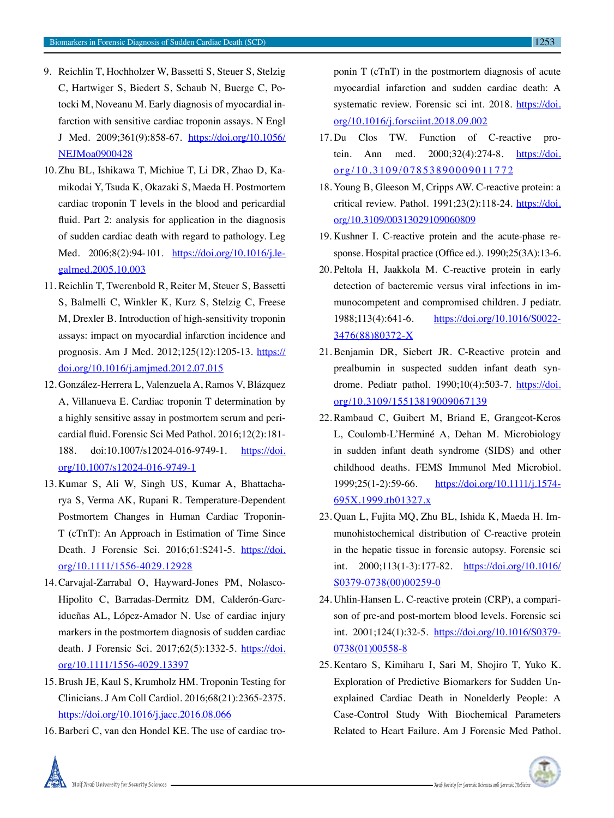- 9. Reichlin T, Hochholzer W, Bassetti S, Steuer S, Stelzig C, Hartwiger S, Biedert S, Schaub N, Buerge C, Potocki M, Noveanu M. Early diagnosis of myocardial infarction with sensitive cardiac troponin assays. N Engl J Med. 2009;361(9):858-67. https://doi.org/10.1056/ NEJMoa0900428
- 10. Zhu BL, Ishikawa T, Michiue T, Li DR, Zhao D, Kamikodai Y, Tsuda K, Okazaki S, Maeda H. Postmortem cardiac troponin T levels in the blood and pericardial fluid. Part 2: analysis for application in the diagnosis of sudden cardiac death with regard to pathology. Leg Med. 2006;8(2):94-101. https://doi.org/10.1016/j.legalmed.2005.10.003
- 11. Reichlin T, Twerenbold R, Reiter M, Steuer S, Bassetti S, Balmelli C, Winkler K, Kurz S, Stelzig C, Freese M, Drexler B. Introduction of high-sensitivity troponin assays: impact on myocardial infarction incidence and prognosis. Am J Med. 2012;125(12):1205-13. https:// doi.org/10.1016/j.amjmed.2012.07.015
- 12. González-Herrera L, Valenzuela A, Ramos V, Blázquez A, Villanueva E. Cardiac troponin T determination by a highly sensitive assay in postmortem serum and pericardial fluid. Forensic Sci Med Pathol. 2016;12(2):181- 188. doi:10.1007/s12024-016-9749-1. https://doi. org/10.1007/s12024-016-9749-1
- 13. Kumar S, Ali W, Singh US, Kumar A, Bhattacharya S, Verma AK, Rupani R. Temperature-Dependent Postmortem Changes in Human Cardiac Troponin-T (cTnT): An Approach in Estimation of Time Since Death. J Forensic Sci. 2016;61:S241-5. https://doi. org/10.1111/1556-4029.12928
- 14. Carvajal-Zarrabal O, Hayward-Jones PM, Nolasco-Hipolito C, Barradas-Dermitz DM, Calderón-Garcidueñas AL, López-Amador N. Use of cardiac injury markers in the postmortem diagnosis of sudden cardiac death. J Forensic Sci. 2017;62(5):1332-5. https://doi. org/10.1111/1556-4029.13397
- 15. Brush JE, Kaul S, Krumholz HM. Troponin Testing for Clinicians. J Am Coll Cardiol. 2016;68(21):2365-2375. https://doi.org/10.1016/j.jacc.2016.08.066
- 16. Barberi C, van den Hondel KE. The use of cardiac tro-

ponin T (cTnT) in the postmortem diagnosis of acute myocardial infarction and sudden cardiac death: A systematic review. Forensic sci int. 2018. https://doi. org/10.1016/j.forsciint.2018.09.002

- 17. Du Clos TW. Function of C-reactive protein. Ann med. 2000;32(4):274-8. https://doi. org/10.3109/07853890009011772
- 18. Young B, Gleeson M, Cripps AW. C-reactive protein: a critical review. Pathol. 1991;23(2):118-24. https://doi. org/10.3109/00313029109060809
- 19. Kushner I. C-reactive protein and the acute-phase response. Hospital practice (Office ed.). 1990;25(3A):13-6.
- 20. Peltola H, Jaakkola M. C-reactive protein in early detection of bacteremic versus viral infections in immunocompetent and compromised children. J pediatr. 1988;113(4):641-6. https://doi.org/10.1016/S0022- 3476(88)80372-X
- 21. Benjamin DR, Siebert JR. C-Reactive protein and prealbumin in suspected sudden infant death syndrome. Pediatr pathol. 1990;10(4):503-7. https://doi. org/10.3109/15513819009067139
- 22. Rambaud C, Guibert M, Briand E, Grangeot-Keros L, Coulomb-L'Herminé A, Dehan M. Microbiology in sudden infant death syndrome (SIDS) and other childhood deaths. FEMS Immunol Med Microbiol. 1999;25(1-2):59-66. https://doi.org/10.1111/j.1574- 695X.1999.tb01327.x
- 23. Quan L, Fujita MQ, Zhu BL, Ishida K, Maeda H. Immunohistochemical distribution of C-reactive protein in the hepatic tissue in forensic autopsy. Forensic sci int. 2000;113(1-3):177-82. https://doi.org/10.1016/ S0379-0738(00)00259-0
- 24. Uhlin-Hansen L. C-reactive protein (CRP), a comparison of pre-and post-mortem blood levels. Forensic sci int. 2001;124(1):32-5. https://doi.org/10.1016/S0379- 0738(01)00558-8
- 25. Kentaro S, Kimiharu I, Sari M, Shojiro T, Yuko K. Exploration of Predictive Biomarkers for Sudden Unexplained Cardiac Death in Nonelderly People: A Case-Control Study With Biochemical Parameters Related to Heart Failure. Am J Forensic Med Pathol.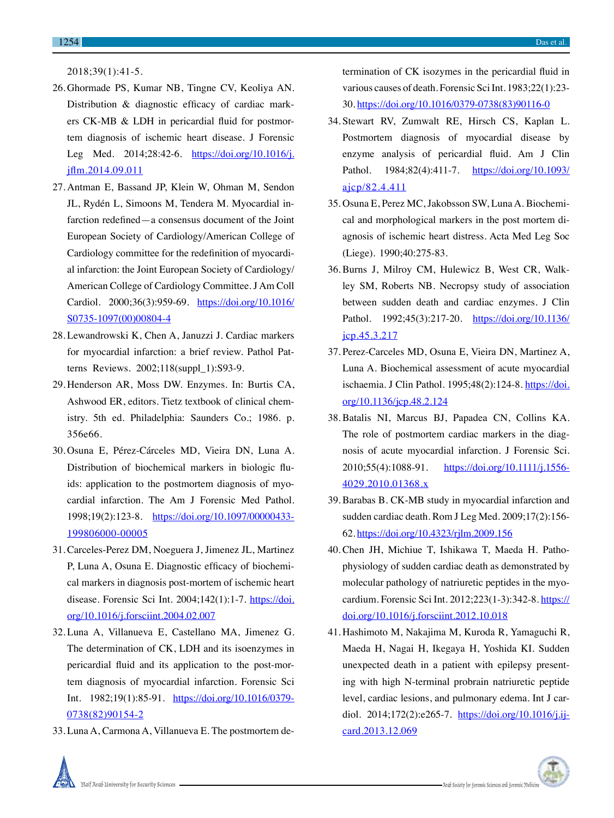2018;39(1):41-5.

- 26. Ghormade PS, Kumar NB, Tingne CV, Keoliya AN. Distribution & diagnostic efficacy of cardiac markers CK-MB & LDH in pericardial fluid for postmortem diagnosis of ischemic heart disease. J Forensic Leg Med. 2014;28:42-6. https://doi.org/10.1016/j. jflm.2014.09.011
- 27. Antman E, Bassand JP, Klein W, Ohman M, Sendon JL, Rydén L, Simoons M, Tendera M. Myocardial infarction redefined—a consensus document of the Joint European Society of Cardiology/American College of Cardiology committee for the redefinition of myocardial infarction: the Joint European Society of Cardiology/ American College of Cardiology Committee. J Am Coll Cardiol. 2000;36(3):959-69. https://doi.org/10.1016/ S0735-1097(00)00804-4
- 28. Lewandrowski K, Chen A, Januzzi J. Cardiac markers for myocardial infarction: a brief review. Pathol Patterns Reviews. 2002;118(suppl\_1):S93-9.
- 29. Henderson AR, Moss DW. Enzymes. In: Burtis CA, Ashwood ER, editors. Tietz textbook of clinical chemistry. 5th ed. Philadelphia: Saunders Co.; 1986. p. 356e66.
- 30. Osuna E, Pérez-Cárceles MD, Vieira DN, Luna A. Distribution of biochemical markers in biologic fluids: application to the postmortem diagnosis of myocardial infarction. The Am J Forensic Med Pathol. 1998;19(2):123-8. https://doi.org/10.1097/00000433- 199806000-00005
- 31. Carceles-Perez DM, Noeguera J, Jimenez JL, Martinez P, Luna A, Osuna E. Diagnostic efficacy of biochemical markers in diagnosis post-mortem of ischemic heart disease. Forensic Sci Int. 2004;142(1):1-7. https://doi. org/10.1016/j.forsciint.2004.02.007
- 32. Luna A, Villanueva E, Castellano MA, Jimenez G. The determination of CK, LDH and its isoenzymes in pericardial fluid and its application to the post-mortem diagnosis of myocardial infarction. Forensic Sci Int. 1982;19(1):85-91. https://doi.org/10.1016/0379- 0738(82)90154-2
- 33. Luna A, Carmona A, Villanueva E. The postmortem de-

termination of CK isozymes in the pericardial fluid in various causes of death. Forensic Sci Int. 1983;22(1):23- 30. https://doi.org/10.1016/0379-0738(83)90116-0

- 34. Stewart RV, Zumwalt RE, Hirsch CS, Kaplan L. Postmortem diagnosis of myocardial disease by enzyme analysis of pericardial fluid. Am J Clin Pathol. 1984;82(4):411-7. https://doi.org/10.1093/ ajcp/82.4.411
- 35. Osuna E, Perez MC, Jakobsson SW, Luna A. Biochemical and morphological markers in the post mortem diagnosis of ischemic heart distress. Acta Med Leg Soc (Liege). 1990;40:275-83.
- 36. Burns J, Milroy CM, Hulewicz B, West CR, Walkley SM, Roberts NB. Necropsy study of association between sudden death and cardiac enzymes. J Clin Pathol. 1992;45(3):217-20. https://doi.org/10.1136/ jcp.45.3.217
- 37. Perez-Carceles MD, Osuna E, Vieira DN, Martinez A, Luna A. Biochemical assessment of acute myocardial ischaemia. J Clin Pathol. 1995;48(2):124-8. https://doi. org/10.1136/jcp.48.2.124
- 38. Batalis NI, Marcus BJ, Papadea CN, Collins KA. The role of postmortem cardiac markers in the diagnosis of acute myocardial infarction. J Forensic Sci. 2010;55(4):1088-91. https://doi.org/10.1111/j.1556- 4029.2010.01368.x
- 39. Barabas B. CK-MB study in myocardial infarction and sudden cardiac death. Rom J Leg Med. 2009;17(2):156- 62. https://doi.org/10.4323/rjlm.2009.156
- 40. Chen JH, Michiue T, Ishikawa T, Maeda H. Pathophysiology of sudden cardiac death as demonstrated by molecular pathology of natriuretic peptides in the myocardium. Forensic Sci Int. 2012;223(1-3):342-8. https:// doi.org/10.1016/j.forsciint.2012.10.018
- 41. Hashimoto M, Nakajima M, Kuroda R, Yamaguchi R, Maeda H, Nagai H, Ikegaya H, Yoshida KI. Sudden unexpected death in a patient with epilepsy presenting with high N-terminal probrain natriuretic peptide level, cardiac lesions, and pulmonary edema. Int J cardiol. 2014;172(2):e265-7. https://doi.org/10.1016/j.ijcard.2013.12.069